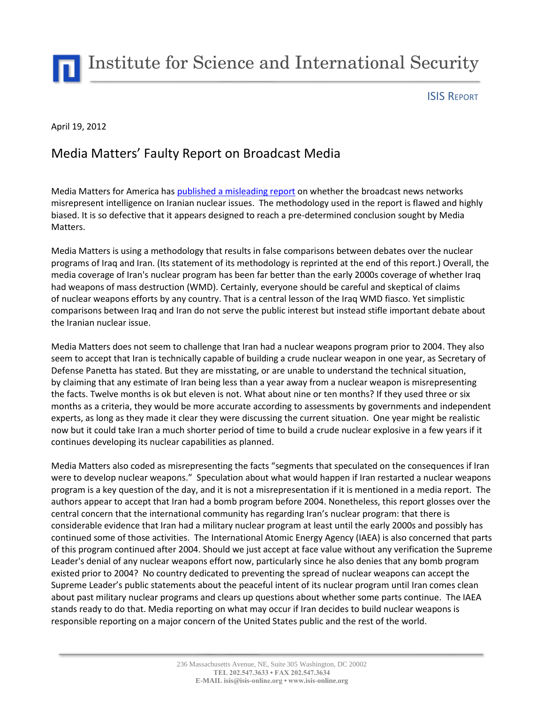Institute for Science and International Security

## ISIS REPORT

## April 19, 2012

## Media Matters' Faulty Report on Broadcast Media

Media Matters for America has [published a misleading report](http://mediamatters.org/blog/201204170020) on whether the broadcast news networks misrepresent intelligence on Iranian nuclear issues. The methodology used in the report is flawed and highly biased. It is so defective that it appears designed to reach a pre-determined conclusion sought by Media Matters.

Media Matters is using a methodology that results in false comparisons between debates over the nuclear programs of Iraq and Iran. (Its statement of its methodology is reprinted at the end of this report.) Overall, the media coverage of Iran's nuclear program has been far better than the early 2000s coverage of whether Iraq had weapons of mass destruction (WMD). Certainly, everyone should be careful and skeptical of claims of nuclear weapons efforts by any country. That is a central lesson of the Iraq WMD fiasco. Yet simplistic comparisons between Iraq and Iran do not serve the public interest but instead stifle important debate about the Iranian nuclear issue.

Media Matters does not seem to challenge that Iran had a nuclear weapons program prior to 2004. They also seem to accept that Iran is technically capable of building a crude nuclear weapon in one year, as Secretary of Defense Panetta has stated. But they are misstating, or are unable to understand the technical situation, by claiming that any estimate of Iran being less than a year away from a nuclear weapon is misrepresenting the facts. Twelve months is ok but eleven is not. What about nine or ten months? If they used three or six months as a criteria, they would be more accurate according to assessments by governments and independent experts, as long as they made it clear they were discussing the current situation. One year might be realistic now but it could take Iran a much shorter period of time to build a crude nuclear explosive in a few years if it continues developing its nuclear capabilities as planned.

Media Matters also coded as misrepresenting the facts "segments that speculated on the consequences if Iran were to develop nuclear weapons." Speculation about what would happen if Iran restarted a nuclear weapons program is a key question of the day, and it is not a misrepresentation if it is mentioned in a media report. The authors appear to accept that Iran had a bomb program before 2004. Nonetheless, this report glosses over the central concern that the international community has regarding Iran's nuclear program: that there is considerable evidence that Iran had a military nuclear program at least until the early 2000s and possibly has continued some of those activities. The International Atomic Energy Agency (IAEA) is also concerned that parts of this program continued after 2004. Should we just accept at face value without any verification the Supreme Leader's denial of any nuclear weapons effort now, particularly since he also denies that any bomb program existed prior to 2004? No country dedicated to preventing the spread of nuclear weapons can accept the Supreme Leader's public statements about the peaceful intent of its nuclear program until Iran comes clean about past military nuclear programs and clears up questions about whether some parts continue. The IAEA stands ready to do that. Media reporting on what may occur if Iran decides to build nuclear weapons is responsible reporting on a major concern of the United States public and the rest of the world.